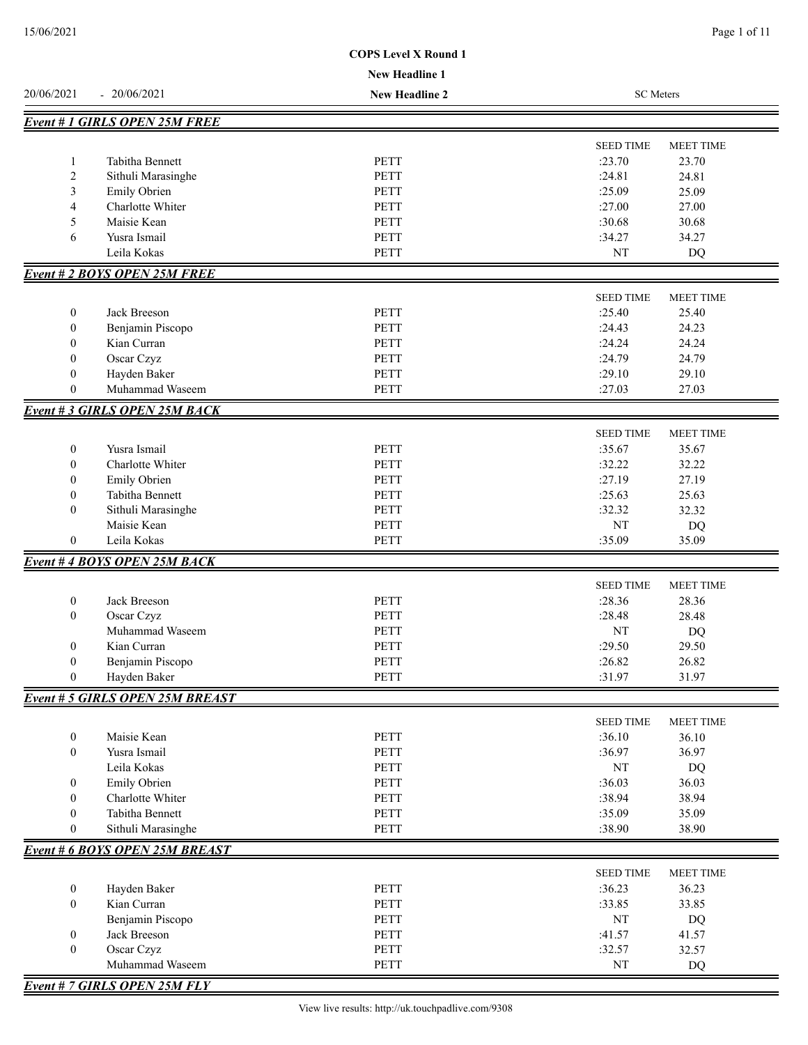|                                  |                                        | <b>New Headline 1</b>      |                  |                  |
|----------------------------------|----------------------------------------|----------------------------|------------------|------------------|
| 20/06/2021                       | $-20/06/2021$                          | <b>New Headline 2</b>      | <b>SC</b> Meters |                  |
|                                  | <b>Event #1 GIRLS OPEN 25M FREE</b>    |                            |                  |                  |
|                                  |                                        |                            |                  | <b>MEET TIME</b> |
|                                  | Tabitha Bennett                        |                            | <b>SEED TIME</b> |                  |
| 1                                |                                        | <b>PETT</b>                | :23.70           | 23.70            |
| 2                                | Sithuli Marasinghe                     | <b>PETT</b><br><b>PETT</b> | :24.81<br>:25.09 | 24.81            |
| 3                                | Emily Obrien<br>Charlotte Whiter       | PETT                       | :27.00           | 25.09            |
| 4                                | Maisie Kean                            |                            |                  | 27.00            |
| 5                                |                                        | <b>PETT</b>                | :30.68           | 30.68            |
| 6                                | Yusra Ismail<br>Leila Kokas            | <b>PETT</b><br>PETT        | :34.27<br>NT     | 34.27<br>DQ      |
|                                  |                                        |                            |                  |                  |
|                                  | <b>Event # 2 BOYS OPEN 25M FREE</b>    |                            |                  |                  |
|                                  |                                        |                            | <b>SEED TIME</b> | <b>MEET TIME</b> |
| $\boldsymbol{0}$                 | Jack Breeson                           | <b>PETT</b>                | :25.40           | 25.40            |
| $\boldsymbol{0}$                 | Benjamin Piscopo                       | <b>PETT</b>                | :24.43           | 24.23            |
| $\boldsymbol{0}$                 | Kian Curran                            | <b>PETT</b>                | :24.24           | 24.24            |
| $\boldsymbol{0}$                 | Oscar Czyz                             | <b>PETT</b>                | :24.79           | 24.79            |
| $\boldsymbol{0}$                 | Hayden Baker                           | PETT                       | :29.10           | 29.10            |
| $\boldsymbol{0}$                 | Muhammad Waseem                        | PETT                       | :27.03           | 27.03            |
|                                  | <b>Event #3 GIRLS OPEN 25M BACK</b>    |                            |                  |                  |
|                                  |                                        |                            | <b>SEED TIME</b> | MEET TIME        |
| $\boldsymbol{0}$                 | Yusra Ismail                           | <b>PETT</b>                | :35.67           | 35.67            |
| $\mathbf{0}$                     | Charlotte Whiter                       | <b>PETT</b>                | :32.22           | 32.22            |
| $\overline{0}$                   | Emily Obrien                           | <b>PETT</b>                | :27.19           | 27.19            |
| $\mathbf{0}$                     | Tabitha Bennett                        | <b>PETT</b>                | :25.63           | 25.63            |
| $\overline{0}$                   | Sithuli Marasinghe                     | <b>PETT</b>                | :32.32           | 32.32            |
|                                  | Maisie Kean                            | <b>PETT</b>                | NT               | DQ               |
| $\boldsymbol{0}$                 | Leila Kokas                            | PETT                       | :35.09           | 35.09            |
|                                  | <b>Event #4 BOYS OPEN 25M BACK</b>     |                            |                  |                  |
|                                  |                                        |                            |                  |                  |
|                                  |                                        |                            | <b>SEED TIME</b> | <b>MEET TIME</b> |
| $\boldsymbol{0}$                 | Jack Breeson                           | <b>PETT</b>                | :28.36           | 28.36            |
| $\mathbf{0}$                     | Oscar Czyz                             | <b>PETT</b>                | :28.48           | 28.48            |
|                                  | Muhammad Waseem                        | <b>PETT</b>                | NT               | DQ               |
| $\boldsymbol{0}$                 | Kian Curran                            | <b>PETT</b>                | :29.50           | 29.50            |
| $\mathbf{0}$                     | Benjamin Piscopo                       | PETT                       | :26.82           | 26.82            |
| $\boldsymbol{0}$                 | Hayden Baker                           | PETT                       | :31.97           | 31.97            |
|                                  | <b>Event # 5 GIRLS OPEN 25M BREAST</b> |                            |                  |                  |
|                                  |                                        |                            | <b>SEED TIME</b> | <b>MEET TIME</b> |
| $\boldsymbol{0}$                 | Maisie Kean                            | PETT                       | :36.10           | 36.10            |
| $\boldsymbol{0}$                 | Yusra Ismail                           | <b>PETT</b>                | :36.97           | 36.97            |
|                                  | Leila Kokas                            | PETT                       | $\rm{NT}$        | <b>DQ</b>        |
| $\boldsymbol{0}$                 | Emily Obrien                           | PETT                       | :36.03           | 36.03            |
| $\theta$                         | Charlotte Whiter                       | PETT                       | :38.94           | 38.94            |
| 0                                | Tabitha Bennett                        | PETT                       | :35.09           | 35.09            |
| $\overline{0}$                   | Sithuli Marasinghe                     | <b>PETT</b>                | :38.90           | 38.90            |
|                                  | <b>Event # 6 BOYS OPEN 25M BREAST</b>  |                            |                  |                  |
|                                  |                                        |                            | <b>SEED TIME</b> | <b>MEET TIME</b> |
| $\boldsymbol{0}$                 | Hayden Baker                           | PETT                       | :36.23           | 36.23            |
| $\mathbf{0}$                     | Kian Curran                            | PETT                       | :33.85           | 33.85            |
|                                  |                                        |                            |                  |                  |
|                                  | Benjamin Piscopo                       | PETT                       | $\rm{NT}$        | DQ               |
| $\boldsymbol{0}$<br>$\mathbf{0}$ | Jack Breeson                           | PETT                       | :41.57           | 41.57            |
|                                  | Oscar Czyz<br>Muhammad Waseem          | PETT<br>PETT               | :32.57<br>NT     | 32.57<br>DQ      |
|                                  |                                        |                            |                  |                  |
|                                  | <b>Event # 7 GIRLS OPEN 25M FLY</b>    |                            |                  |                  |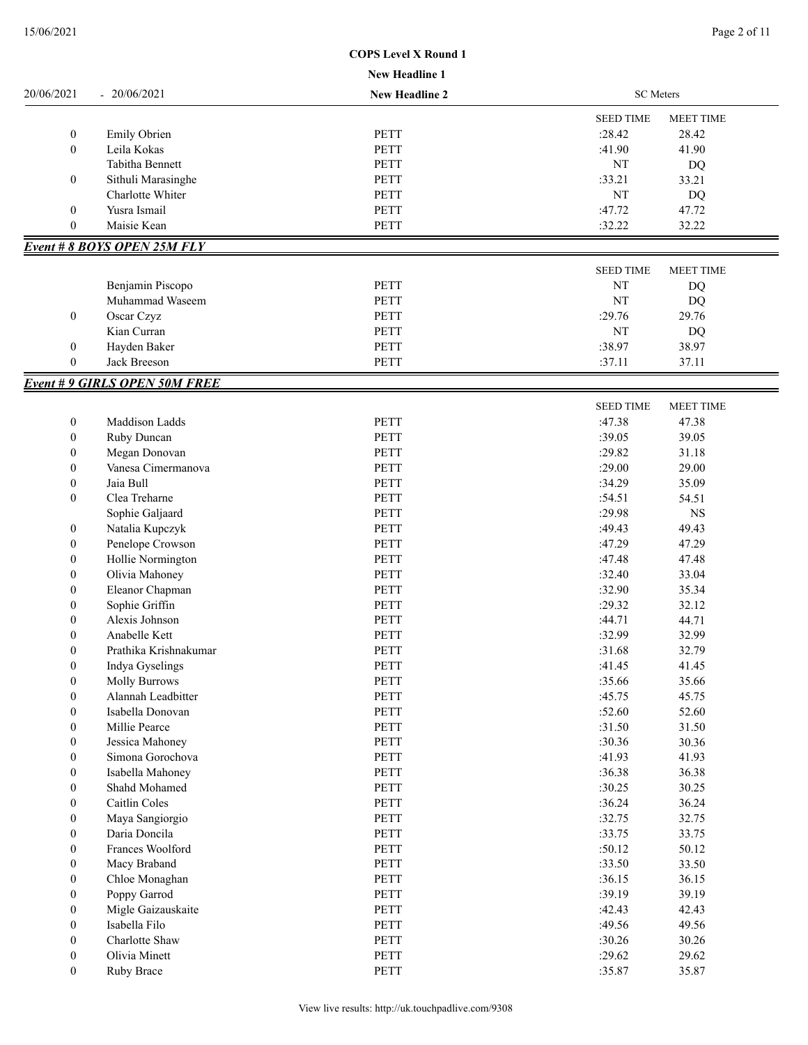|                                  |                                     | <b>New Headline 1</b> |                  |                  |
|----------------------------------|-------------------------------------|-----------------------|------------------|------------------|
| 20/06/2021                       | $-20/06/2021$                       | <b>New Headline 2</b> | <b>SC</b> Meters |                  |
|                                  |                                     |                       | <b>SEED TIME</b> | <b>MEET TIME</b> |
| $\boldsymbol{0}$                 | <b>Emily Obrien</b>                 | <b>PETT</b>           | :28.42           | 28.42            |
| $\boldsymbol{0}$                 | Leila Kokas                         | <b>PETT</b>           | :41.90           | 41.90            |
|                                  | Tabitha Bennett                     | <b>PETT</b>           | NT               | DQ               |
| $\boldsymbol{0}$                 | Sithuli Marasinghe                  | <b>PETT</b>           | :33.21           | 33.21            |
|                                  | Charlotte Whiter                    | PETT                  | NT               | <b>DQ</b>        |
| $\boldsymbol{0}$                 | Yusra Ismail                        | <b>PETT</b>           | :47.72           | 47.72            |
| $\mathbf{0}$                     | Maisie Kean                         | <b>PETT</b>           | :32.22           | 32.22            |
|                                  | Event # 8 BOYS OPEN 25M FLY         |                       |                  |                  |
|                                  |                                     |                       | <b>SEED TIME</b> | <b>MEET TIME</b> |
|                                  | Benjamin Piscopo                    | <b>PETT</b>           | NT               | DQ               |
|                                  | Muhammad Waseem                     | <b>PETT</b>           | NT               | <b>DQ</b>        |
| $\boldsymbol{0}$                 | Oscar Czyz                          | <b>PETT</b>           | :29.76           | 29.76            |
|                                  | Kian Curran                         | PETT                  | NT               | DQ               |
|                                  |                                     | PETT                  | :38.97           | 38.97            |
| $\boldsymbol{0}$<br>$\mathbf{0}$ | Hayden Baker<br>Jack Breeson        | PETT                  | :37.11           |                  |
|                                  |                                     |                       |                  | 37.11            |
|                                  | <b>Event #9 GIRLS OPEN 50M FREE</b> |                       |                  |                  |
|                                  |                                     |                       | <b>SEED TIME</b> | <b>MEET TIME</b> |
| $\boldsymbol{0}$                 | Maddison Ladds                      | <b>PETT</b>           | :47.38           | 47.38            |
| $\boldsymbol{0}$                 | Ruby Duncan                         | <b>PETT</b>           | :39.05           | 39.05            |
| $\boldsymbol{0}$                 | Megan Donovan                       | <b>PETT</b>           | :29.82           | 31.18            |
| $\boldsymbol{0}$                 | Vanesa Cimermanova                  | <b>PETT</b>           | :29.00           | 29.00            |
| $\boldsymbol{0}$                 | Jaia Bull                           | <b>PETT</b>           | :34.29           | 35.09            |
| $\boldsymbol{0}$                 | Clea Treharne                       | <b>PETT</b>           | :54.51           | 54.51            |
|                                  | Sophie Galjaard                     | <b>PETT</b>           | :29.98           | $_{\rm NS}$      |
| 0                                | Natalia Kupczyk                     | <b>PETT</b>           | :49.43           | 49.43            |
| $\boldsymbol{0}$                 | Penelope Crowson                    | <b>PETT</b>           | :47.29           | 47.29            |
| $\boldsymbol{0}$                 | Hollie Normington                   | <b>PETT</b>           | :47.48           | 47.48            |
| $\boldsymbol{0}$                 | Olivia Mahoney                      | <b>PETT</b>           | :32.40           | 33.04            |
| $\boldsymbol{0}$                 | Eleanor Chapman                     | <b>PETT</b>           | :32.90           | 35.34            |
| $\boldsymbol{0}$                 | Sophie Griffin                      | PETT                  | :29.32           | 32.12            |
| $\boldsymbol{0}$                 | Alexis Johnson                      | PETT                  | :44.71           | 44.71            |
| $\boldsymbol{0}$                 | Anabelle Kett                       | <b>PETT</b>           | :32.99           | 32.99            |
| $\theta$                         | Prathika Krishnakumar               | PETT                  | :31.68           | 32.79            |
| $\boldsymbol{0}$                 | Indya Gyselings                     | PETT                  | :41.45           | 41.45            |
| $\boldsymbol{0}$                 | <b>Molly Burrows</b>                | PETT                  | :35.66           | 35.66            |
| $\boldsymbol{0}$                 | Alannah Leadbitter                  | PETT                  | :45.75           | 45.75            |
| $\boldsymbol{0}$                 | Isabella Donovan                    | PETT                  | :52.60           | 52.60            |
| 0                                | Millie Pearce                       | PETT                  | :31.50           | 31.50            |
|                                  | Jessica Mahoney                     | PETT                  | :30.36           | 30.36            |
| $\boldsymbol{0}$                 | Simona Gorochova                    |                       |                  |                  |
| $\boldsymbol{0}$                 |                                     | PETT                  | :41.93           | 41.93            |
| $\boldsymbol{0}$                 | Isabella Mahoney                    | PETT                  | :36.38           | 36.38            |
| $\boldsymbol{0}$                 | Shahd Mohamed                       | PETT                  | :30.25           | 30.25            |
| $\boldsymbol{0}$                 | Caitlin Coles                       | PETT                  | :36.24           | 36.24            |
| $\boldsymbol{0}$                 | Maya Sangiorgio                     | PETT                  | :32.75           | 32.75            |
| $\boldsymbol{0}$                 | Daria Doncila                       | PETT                  | :33.75           | 33.75            |
| $\boldsymbol{0}$                 | Frances Woolford                    | PETT                  | :50.12           | 50.12            |
| $\boldsymbol{0}$                 | Macy Braband                        | PETT                  | :33.50           | 33.50            |
| $\boldsymbol{0}$                 | Chloe Monaghan                      | PETT                  | :36.15           | 36.15            |
| $\boldsymbol{0}$                 | Poppy Garrod                        | PETT                  | :39.19           | 39.19            |
| $\boldsymbol{0}$                 | Migle Gaizauskaite                  | PETT                  | :42.43           | 42.43            |
| $\boldsymbol{0}$                 | Isabella Filo                       | PETT                  | :49.56           | 49.56            |
| $\boldsymbol{0}$                 | Charlotte Shaw                      | PETT                  | :30.26           | 30.26            |
| $\boldsymbol{0}$                 | Olivia Minett                       | PETT                  | :29.62           | 29.62            |
| $\boldsymbol{0}$                 | Ruby Brace                          | PETT                  | :35.87           | 35.87            |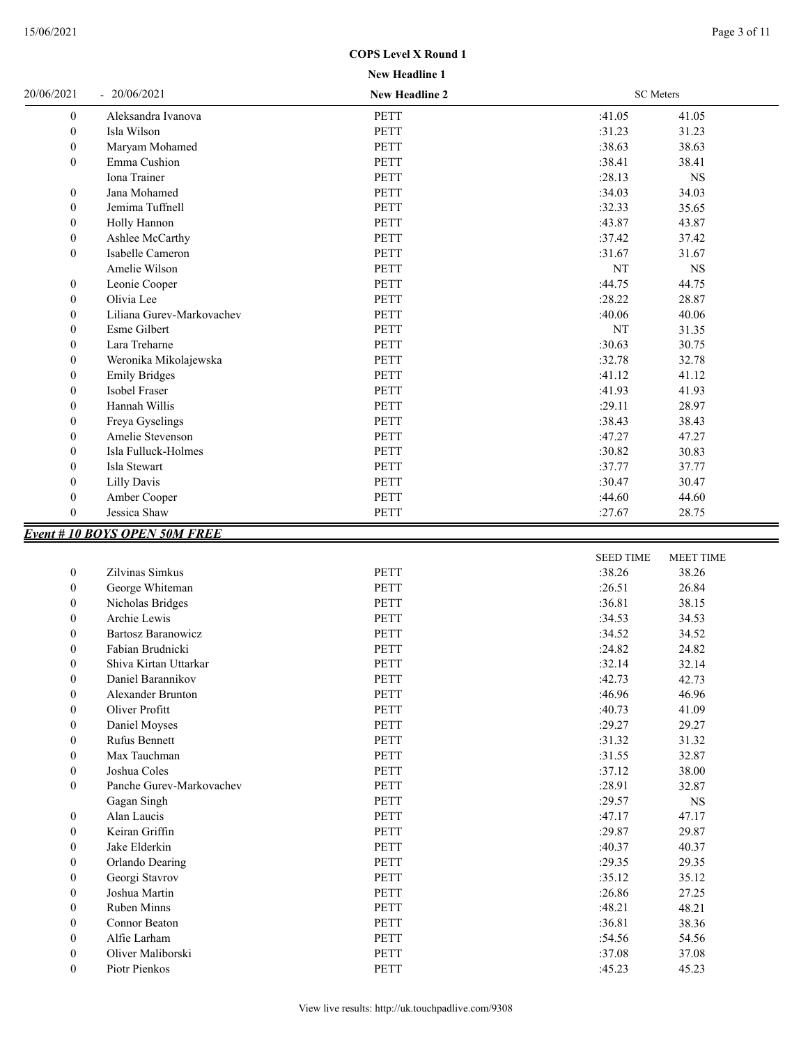| 15/06/2021 | Page 3 of 11 |
|------------|--------------|
|------------|--------------|

| 20/06/2021       | $-20/06/2021$                       | New Headline 2 | <b>SC</b> Meters |                  |
|------------------|-------------------------------------|----------------|------------------|------------------|
| $\mathbf{0}$     | Aleksandra Ivanova                  | <b>PETT</b>    | :41.05           | 41.05            |
| $\boldsymbol{0}$ | Isla Wilson                         | <b>PETT</b>    | :31.23           | 31.23            |
| $\mathbf{0}$     | Maryam Mohamed                      | <b>PETT</b>    | :38.63           | 38.63            |
| $\mathbf{0}$     | Emma Cushion                        | <b>PETT</b>    | :38.41           | 38.41            |
|                  | Iona Trainer                        | <b>PETT</b>    | :28.13           | $_{\rm NS}$      |
| $\boldsymbol{0}$ | Jana Mohamed                        | <b>PETT</b>    | :34.03           | 34.03            |
| $\boldsymbol{0}$ | Jemima Tuffnell                     | PETT           | :32.33           | 35.65            |
| $\boldsymbol{0}$ | Holly Hannon                        | <b>PETT</b>    | :43.87           | 43.87            |
| $\mathbf{0}$     | Ashlee McCarthy                     | <b>PETT</b>    | :37.42           | 37.42            |
| $\mathbf{0}$     | Isabelle Cameron                    | <b>PETT</b>    | :31.67           | 31.67            |
|                  | Amelie Wilson                       | <b>PETT</b>    | NT               | <b>NS</b>        |
| $\boldsymbol{0}$ | Leonie Cooper                       | <b>PETT</b>    | :44.75           | 44.75            |
| $\boldsymbol{0}$ | Olivia Lee                          | <b>PETT</b>    | :28.22           | 28.87            |
| $\boldsymbol{0}$ | Liliana Gurev-Markovachev           | PETT           | :40.06           | 40.06            |
| $\mathbf{0}$     | Esme Gilbert                        | <b>PETT</b>    | NT               | 31.35            |
| $\mathbf{0}$     | Lara Treharne                       | <b>PETT</b>    | :30.63           | 30.75            |
| $\mathbf{0}$     | Weronika Mikolajewska               | <b>PETT</b>    | :32.78           | 32.78            |
| $\mathbf{0}$     | <b>Emily Bridges</b>                | <b>PETT</b>    | :41.12           | 41.12            |
| $\boldsymbol{0}$ | Isobel Fraser                       | <b>PETT</b>    | :41.93           | 41.93            |
| $\boldsymbol{0}$ | Hannah Willis                       | <b>PETT</b>    | :29.11           | 28.97            |
| $\mathbf{0}$     | Freya Gyselings                     | <b>PETT</b>    | :38.43           | 38.43            |
| $\mathbf{0}$     | Amelie Stevenson                    | <b>PETT</b>    | :47.27           | 47.27            |
| $\boldsymbol{0}$ | Isla Fulluck-Holmes                 | <b>PETT</b>    | :30.82           | 30.83            |
| $\mathbf{0}$     | Isla Stewart                        | <b>PETT</b>    | :37.77           | 37.77            |
| $\mathbf{0}$     | Lilly Davis                         | <b>PETT</b>    | :30.47           | 30.47            |
| $\mathbf{0}$     | Amber Cooper                        | <b>PETT</b>    | :44.60           | 44.60            |
| $\overline{0}$   | Jessica Shaw                        | <b>PETT</b>    | :27.67           | 28.75            |
|                  | <b>Event #10 BOYS OPEN 50M FREE</b> |                |                  |                  |
|                  |                                     |                | <b>SEED TIME</b> | <b>MEET TIME</b> |
| $\mathbf{0}$     | Zilvinas Simkus                     | <b>PETT</b>    | :38.26           | 38.26            |
| $\mathbf{0}$     | George Whiteman                     | PETT           | :26.51           | 26.84            |
| $\mathbf{0}$     | Nicholas Bridges                    | <b>PETT</b>    | :36.81           | 38.15            |
|                  |                                     |                |                  |                  |

| v              | Ocorge wintenfan         | LET I       | .20.91 | 20.04     |  |
|----------------|--------------------------|-------------|--------|-----------|--|
| $\overline{0}$ | Nicholas Bridges         | <b>PETT</b> | :36.81 | 38.15     |  |
| $\overline{0}$ | Archie Lewis             | PETT        | :34.53 | 34.53     |  |
| $\overline{0}$ | Bartosz Baranowicz       | PETT        | :34.52 | 34.52     |  |
| $\overline{0}$ | Fabian Brudnicki         | PETT        | :24.82 | 24.82     |  |
| $\overline{0}$ | Shiva Kirtan Uttarkar    | PETT        | :32.14 | 32.14     |  |
| $\overline{0}$ | Daniel Barannikov        | <b>PETT</b> | :42.73 | 42.73     |  |
| $\overline{0}$ | <b>Alexander Brunton</b> | <b>PETT</b> | :46.96 | 46.96     |  |
| $\overline{0}$ | Oliver Profitt           | PETT        | :40.73 | 41.09     |  |
| $\overline{0}$ | Daniel Moyses            | <b>PETT</b> | :29.27 | 29.27     |  |
| $\overline{0}$ | Rufus Bennett            | <b>PETT</b> | :31.32 | 31.32     |  |
| $\overline{0}$ | Max Tauchman             | PETT        | :31.55 | 32.87     |  |
| $\overline{0}$ | Joshua Coles             | PETT        | :37.12 | 38.00     |  |
| $\mathbf{0}$   | Panche Gurev-Markovachev | PETT        | :28.91 | 32.87     |  |
|                | Gagan Singh              | PETT        | :29.57 | <b>NS</b> |  |
| $\overline{0}$ | Alan Laucis              | <b>PETT</b> | :47.17 | 47.17     |  |
| $\overline{0}$ | Keiran Griffin           | PETT        | :29.87 | 29.87     |  |
| $\overline{0}$ | Jake Elderkin            | PETT        | :40.37 | 40.37     |  |
| $\overline{0}$ | Orlando Dearing          | PETT        | :29.35 | 29.35     |  |
| $\overline{0}$ | Georgi Stavrov           | PETT        | :35.12 | 35.12     |  |
| $\overline{0}$ | Joshua Martin            | PETT        | :26.86 | 27.25     |  |
| $\overline{0}$ | Ruben Minns              | PETT        | :48.21 | 48.21     |  |
| $\overline{0}$ | Connor Beaton            | PETT        | :36.81 | 38.36     |  |
| $\overline{0}$ | Alfie Larham             | PETT        | :54.56 | 54.56     |  |
| $\theta$       | Oliver Maliborski        | PETT        | :37.08 | 37.08     |  |
| 0              | Piotr Pienkos            | <b>PETT</b> | :45.23 | 45.23     |  |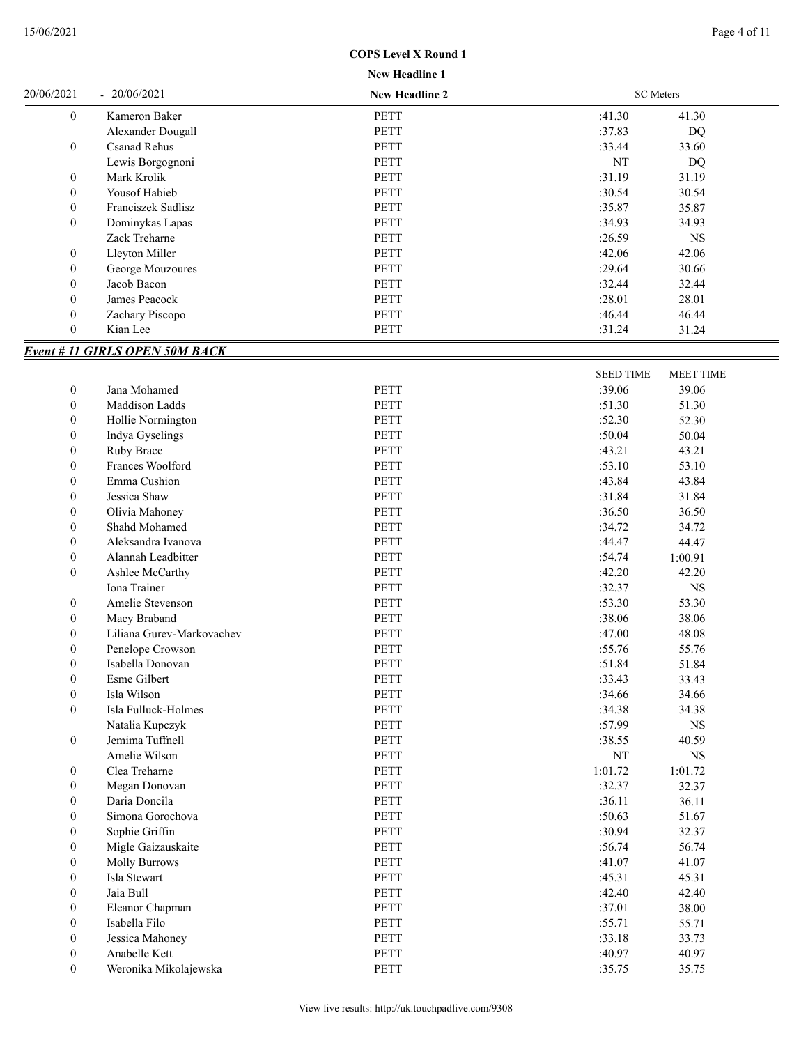|  | <b>New Headline 1</b> |  |
|--|-----------------------|--|

| 20/06/2021       | $-20/06/2021$                         | <b>New Headline 2</b> | <b>SC</b> Meters   |                  |
|------------------|---------------------------------------|-----------------------|--------------------|------------------|
| $\boldsymbol{0}$ | Kameron Baker                         | PETT                  | :41.30             | 41.30            |
|                  | Alexander Dougall                     | PETT                  | :37.83             | <b>DQ</b>        |
| $\boldsymbol{0}$ | <b>Csanad Rehus</b>                   | <b>PETT</b>           | :33.44             | 33.60            |
|                  | Lewis Borgognoni                      | <b>PETT</b>           | $\rm{NT}$          | DQ               |
| $\boldsymbol{0}$ | Mark Krolik                           | PETT                  | :31.19             | 31.19            |
| $\boldsymbol{0}$ | Yousof Habieb                         | <b>PETT</b>           | :30.54             | 30.54            |
| $\boldsymbol{0}$ | Franciszek Sadlisz                    | <b>PETT</b>           | :35.87             | 35.87            |
| $\boldsymbol{0}$ | Dominykas Lapas                       | <b>PETT</b>           | :34.93             | 34.93            |
|                  | Zack Treharne                         | PETT                  | :26.59             | <b>NS</b>        |
| $\boldsymbol{0}$ | Lleyton Miller                        | PETT                  | :42.06             | 42.06            |
| $\boldsymbol{0}$ | George Mouzoures                      | PETT                  | :29.64             | 30.66            |
| $\boldsymbol{0}$ | Jacob Bacon                           | <b>PETT</b>           | :32.44             | 32.44            |
| $\boldsymbol{0}$ | James Peacock                         | PETT                  | :28.01             | 28.01            |
| $\boldsymbol{0}$ | Zachary Piscopo                       | PETT                  | :46.44             | 46.44            |
| $\mathbf{0}$     | Kian Lee                              | PETT                  | :31.24             | 31.24            |
|                  |                                       |                       |                    |                  |
|                  | <b>Event # 11 GIRLS OPEN 50M BACK</b> |                       |                    |                  |
|                  |                                       |                       | <b>SEED TIME</b>   | <b>MEET TIME</b> |
| $\boldsymbol{0}$ | Jana Mohamed                          | <b>PETT</b>           | :39.06             | 39.06            |
| $\boldsymbol{0}$ | Maddison Ladds                        | <b>PETT</b>           | :51.30             | 51.30            |
| $\boldsymbol{0}$ | Hollie Normington                     | PETT                  | :52.30             | 52.30            |
| $\boldsymbol{0}$ | Indya Gyselings                       | <b>PETT</b>           | :50.04             | 50.04            |
| $\boldsymbol{0}$ | Ruby Brace                            | <b>PETT</b>           | :43.21             | 43.21            |
| $\boldsymbol{0}$ | Frances Woolford                      | <b>PETT</b>           | :53.10             | 53.10            |
| $\boldsymbol{0}$ | Emma Cushion                          | <b>PETT</b>           | :43.84             | 43.84            |
| $\boldsymbol{0}$ | Jessica Shaw                          | <b>PETT</b>           | :31.84             | 31.84            |
| $\boldsymbol{0}$ | Olivia Mahoney                        | <b>PETT</b>           | :36.50             | 36.50            |
| $\boldsymbol{0}$ | Shahd Mohamed                         | PETT                  | :34.72             | 34.72            |
| $\boldsymbol{0}$ | Aleksandra Ivanova                    | <b>PETT</b>           | :44.47             | 44.47            |
| $\boldsymbol{0}$ | Alannah Leadbitter                    | PETT                  | :54.74<br>1:00.91  |                  |
| $\boldsymbol{0}$ | Ashlee McCarthy                       | <b>PETT</b>           | :42.20             | 42.20            |
|                  | Iona Trainer                          | <b>PETT</b>           | :32.37             | $_{\rm NS}$      |
| $\boldsymbol{0}$ | Amelie Stevenson                      | <b>PETT</b>           | :53.30             | 53.30            |
| $\boldsymbol{0}$ | Macy Braband                          | PETT                  | :38.06             | 38.06            |
| $\boldsymbol{0}$ | Liliana Gurev-Markovachev             | PETT                  | :47.00             | 48.08            |
| $\boldsymbol{0}$ | Penelope Crowson                      | PETT                  | :55.76             | 55.76            |
| $\boldsymbol{0}$ | Isabella Donovan                      | <b>PETT</b>           | :51.84             | 51.84            |
| $\boldsymbol{0}$ | Esme Gilbert                          | PETT                  | :33.43             | 33.43            |
| $\boldsymbol{0}$ | Isla Wilson                           | PETT                  | :34.66             | 34.66            |
| $\boldsymbol{0}$ | Isla Fulluck-Holmes                   | PETT                  | :34.38             | 34.38            |
|                  | Natalia Kupczyk                       | PETT                  | :57.99             | $_{\rm NS}$      |
| $\boldsymbol{0}$ | Jemima Tuffnell                       | PETT                  | :38.55             | 40.59            |
|                  | Amelie Wilson                         | PETT                  | $\rm{NT}$          | $_{\rm NS}$      |
| $\boldsymbol{0}$ | Clea Treharne                         | PETT                  | 1:01.72<br>1:01.72 |                  |
| $\boldsymbol{0}$ | Megan Donovan                         | PETT                  | :32.37             | 32.37            |
| $\boldsymbol{0}$ | Daria Doncila                         | PETT                  | :36.11             | 36.11            |
| $\boldsymbol{0}$ | Simona Gorochova                      | PETT                  | :50.63             | 51.67            |
| $\boldsymbol{0}$ | Sophie Griffin                        | PETT                  | :30.94             | 32.37            |
| $\boldsymbol{0}$ | Migle Gaizauskaite                    | PETT                  | :56.74             | 56.74            |
| $\boldsymbol{0}$ | <b>Molly Burrows</b>                  | PETT                  | :41.07             | 41.07            |
| $\boldsymbol{0}$ | Isla Stewart                          | PETT                  | :45.31             | 45.31            |
| $\boldsymbol{0}$ | Jaia Bull                             | PETT                  | :42.40             | 42.40            |
|                  |                                       | PETT                  | :37.01             |                  |
| $\boldsymbol{0}$ | Eleanor Chapman                       |                       |                    | 38.00            |
| $\boldsymbol{0}$ | Isabella Filo                         | PETT                  | :55.71             | 55.71            |
| $\boldsymbol{0}$ | Jessica Mahoney                       | PETT                  | :33.18             | 33.73            |
| $\boldsymbol{0}$ | Anabelle Kett                         | PETT                  | :40.97             | 40.97            |
| $\boldsymbol{0}$ | Weronika Mikolajewska                 | PETT                  | :35.75             | 35.75            |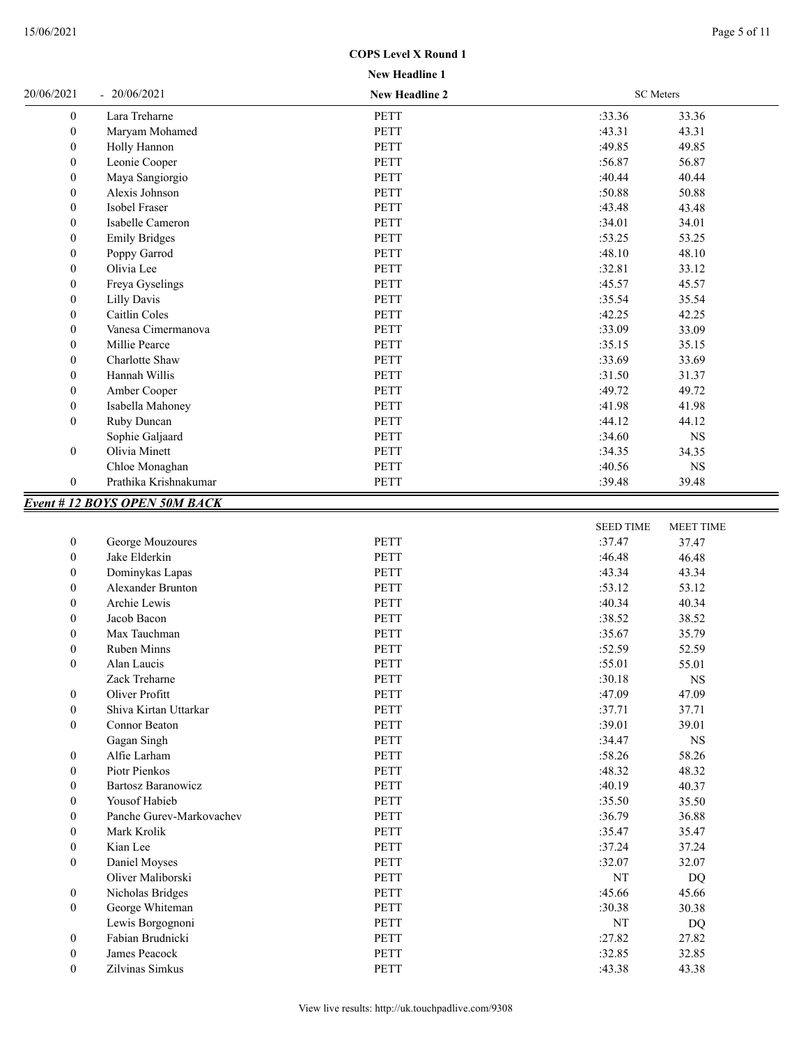| 20/06/2021       | 20/06/2021                          | <b>New Headline 2</b> |        | <b>SC</b> Meters |  |
|------------------|-------------------------------------|-----------------------|--------|------------------|--|
| $\boldsymbol{0}$ | Lara Treharne                       | PETT                  | :33.36 | 33.36            |  |
| $\boldsymbol{0}$ | Maryam Mohamed                      | <b>PETT</b>           | :43.31 | 43.31            |  |
| $\boldsymbol{0}$ | Holly Hannon                        | <b>PETT</b>           | :49.85 | 49.85            |  |
| $\boldsymbol{0}$ | Leonie Cooper                       | <b>PETT</b>           | :56.87 | 56.87            |  |
| $\mathbf{0}$     | Maya Sangiorgio                     | <b>PETT</b>           | :40.44 | 40.44            |  |
| $\boldsymbol{0}$ | Alexis Johnson                      | <b>PETT</b>           | :50.88 | 50.88            |  |
| $\boldsymbol{0}$ | Isobel Fraser                       | <b>PETT</b>           | :43.48 | 43.48            |  |
| $\boldsymbol{0}$ | Isabelle Cameron                    | <b>PETT</b>           | :34.01 | 34.01            |  |
| $\boldsymbol{0}$ | <b>Emily Bridges</b>                | <b>PETT</b>           | :53.25 | 53.25            |  |
| $\boldsymbol{0}$ | Poppy Garrod                        | <b>PETT</b>           | :48.10 | 48.10            |  |
| $\boldsymbol{0}$ | Olivia Lee                          | <b>PETT</b>           | :32.81 | 33.12            |  |
| $\boldsymbol{0}$ | Freya Gyselings                     | <b>PETT</b>           | :45.57 | 45.57            |  |
| $\boldsymbol{0}$ | Lilly Davis                         | <b>PETT</b>           | :35.54 | 35.54            |  |
| $\mathbf{0}$     | Caitlin Coles                       | <b>PETT</b>           | :42.25 | 42.25            |  |
| $\boldsymbol{0}$ | Vanesa Cimermanova                  | <b>PETT</b>           | :33.09 | 33.09            |  |
| $\boldsymbol{0}$ | Millie Pearce                       | <b>PETT</b>           | :35.15 | 35.15            |  |
| $\boldsymbol{0}$ | Charlotte Shaw                      | <b>PETT</b>           | :33.69 | 33.69            |  |
| $\mathbf{0}$     | Hannah Willis                       | <b>PETT</b>           | :31.50 | 31.37            |  |
| $\boldsymbol{0}$ | Amber Cooper                        | <b>PETT</b>           | :49.72 | 49.72            |  |
| $\boldsymbol{0}$ | Isabella Mahoney                    | <b>PETT</b>           | :41.98 | 41.98            |  |
| $\mathbf{0}$     | Ruby Duncan                         | <b>PETT</b>           | :44.12 | 44.12            |  |
|                  | Sophie Galjaard                     | <b>PETT</b>           | :34.60 | <b>NS</b>        |  |
| $\boldsymbol{0}$ | Olivia Minett                       | <b>PETT</b>           | :34.35 | 34.35            |  |
|                  | Chloe Monaghan                      | PETT                  | :40.56 | <b>NS</b>        |  |
| $\boldsymbol{0}$ | Prathika Krishnakumar               | PETT                  | :39.48 | 39.48            |  |
|                  | <b>Event #12 BOYS OPEN 50M BACK</b> |                       |        |                  |  |

|                  |                           |             | <b>SEED TIME</b> | <b>MEET TIME</b> |
|------------------|---------------------------|-------------|------------------|------------------|
| $\boldsymbol{0}$ | George Mouzoures          | <b>PETT</b> | :37.47           | 37.47            |
| $\mathbf{0}$     | Jake Elderkin             | <b>PETT</b> | :46.48           | 46.48            |
| $\mathbf{0}$     | Dominykas Lapas           | <b>PETT</b> | :43.34           | 43.34            |
| $\boldsymbol{0}$ | <b>Alexander Brunton</b>  | PETT        | :53.12           | 53.12            |
| $\theta$         | Archie Lewis              | <b>PETT</b> | :40.34           | 40.34            |
| $\Omega$         | Jacob Bacon               | <b>PETT</b> | :38.52           | 38.52            |
| $\Omega$         | Max Tauchman              | <b>PETT</b> | :35.67           | 35.79            |
| $\mathbf{0}$     | <b>Ruben Minns</b>        | <b>PETT</b> | :52.59           | 52.59            |
| $\mathbf{0}$     | Alan Laucis               | <b>PETT</b> | :55.01           | 55.01            |
|                  | Zack Treharne             | <b>PETT</b> | :30.18           | <b>NS</b>        |
| $\theta$         | Oliver Profitt            | <b>PETT</b> | :47.09           | 47.09            |
| $\boldsymbol{0}$ | Shiva Kirtan Uttarkar     | <b>PETT</b> | :37.71           | 37.71            |
| $\mathbf{0}$     | Connor Beaton             | <b>PETT</b> | :39.01           | 39.01            |
|                  | Gagan Singh               | <b>PETT</b> | :34.47           | $_{\rm NS}$      |
| $\mathbf{0}$     | Alfie Larham              | <b>PETT</b> | :58.26           | 58.26            |
| $\mathbf{0}$     | Piotr Pienkos             | <b>PETT</b> | :48.32           | 48.32            |
| $\mathbf{0}$     | <b>Bartosz Baranowicz</b> | <b>PETT</b> | :40.19           | 40.37            |
| $\Omega$         | Yousof Habieb             | PETT        | :35.50           | 35.50            |
| $\mathbf{0}$     | Panche Gurev-Markovachev  | <b>PETT</b> | :36.79           | 36.88            |
| $\theta$         | Mark Krolik               | <b>PETT</b> | :35.47           | 35.47            |
| $\boldsymbol{0}$ | Kian Lee                  | PETT        | :37.24           | 37.24            |
| $\theta$         | Daniel Moyses             | <b>PETT</b> | :32.07           | 32.07            |
|                  | Oliver Maliborski         | <b>PETT</b> | NT               | <b>DQ</b>        |
| $\mathbf{0}$     | Nicholas Bridges          | <b>PETT</b> | :45.66           | 45.66            |
| $\mathbf{0}$     | George Whiteman           | <b>PETT</b> | :30.38           | 30.38            |
|                  | Lewis Borgognoni          | <b>PETT</b> | NT               | DQ               |
| $\mathbf{0}$     | Fabian Brudnicki          | <b>PETT</b> | :27.82           | 27.82            |
| $\Omega$         | James Peacock             | PETT        | :32.85           | 32.85            |
| $\Omega$         | Zilvinas Simkus           | <b>PETT</b> | :43.38           | 43.38            |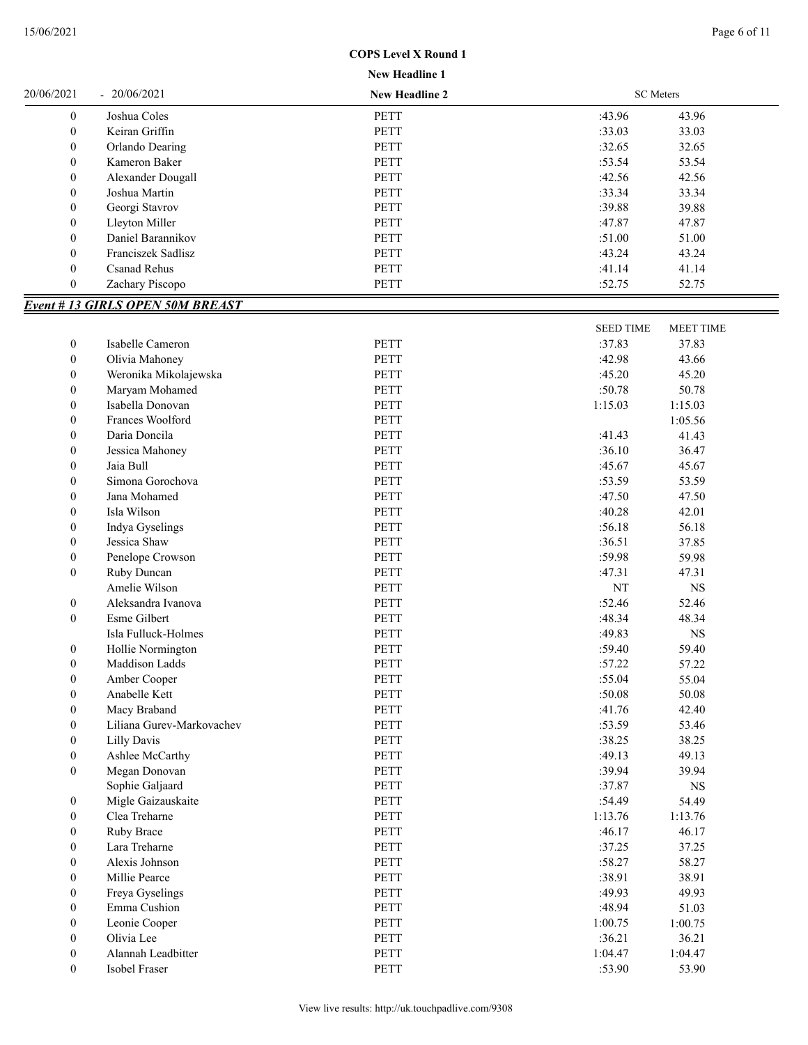## **New Headline 1 COPS Level X Round 1**

| 20/06/2021       | 20/06/2021                              | <b>New Headline 2</b> | <b>SC</b> Meters |                  |
|------------------|-----------------------------------------|-----------------------|------------------|------------------|
| $\boldsymbol{0}$ | Joshua Coles                            | <b>PETT</b>           | :43.96           | 43.96            |
| $\boldsymbol{0}$ | Keiran Griffin                          | <b>PETT</b>           | :33.03           | 33.03            |
| $\boldsymbol{0}$ | Orlando Dearing                         | <b>PETT</b>           | :32.65           | 32.65            |
| $\boldsymbol{0}$ | Kameron Baker                           | PETT                  | :53.54           | 53.54            |
| $\boldsymbol{0}$ | Alexander Dougall                       | PETT                  | :42.56           | 42.56            |
| $\boldsymbol{0}$ | Joshua Martin                           | <b>PETT</b>           | :33.34           | 33.34            |
| $\boldsymbol{0}$ | Georgi Stavrov                          | PETT                  | :39.88           | 39.88            |
| $\boldsymbol{0}$ | Lleyton Miller                          | <b>PETT</b>           | :47.87           | 47.87            |
| $\boldsymbol{0}$ | Daniel Barannikov                       | PETT                  | :51.00           | 51.00            |
| $\boldsymbol{0}$ | Franciszek Sadlisz                      | PETT                  | :43.24           | 43.24            |
| $\boldsymbol{0}$ | <b>Csanad Rehus</b>                     | PETT                  | :41.14           | 41.14            |
| $\boldsymbol{0}$ | Zachary Piscopo                         | PETT                  | :52.75           | 52.75            |
|                  | <b>Event # 13 GIRLS OPEN 50M BREAST</b> |                       |                  |                  |
|                  |                                         |                       |                  |                  |
|                  |                                         |                       | <b>SEED TIME</b> | <b>MEET TIME</b> |
| $\boldsymbol{0}$ | Isabelle Cameron                        | <b>PETT</b>           | :37.83           | 37.83            |
| $\boldsymbol{0}$ | Olivia Mahoney                          | <b>PETT</b>           | :42.98           | 43.66            |
| $\boldsymbol{0}$ | Weronika Mikolajewska                   | PETT                  | :45.20           | 45.20            |
| $\boldsymbol{0}$ | Maryam Mohamed                          | PETT                  | :50.78           | 50.78            |
| $\boldsymbol{0}$ | Isabella Donovan                        | PETT                  | 1:15.03          | 1:15.03          |
| $\boldsymbol{0}$ | Frances Woolford                        | PETT                  |                  | 1:05.56          |
| $\boldsymbol{0}$ | Daria Doncila                           | PETT                  | :41.43           | 41.43            |
| $\boldsymbol{0}$ | Jessica Mahoney                         | PETT                  | :36.10           | 36.47            |
| $\boldsymbol{0}$ | Jaia Bull                               | PETT                  | :45.67           | 45.67            |
| $\boldsymbol{0}$ | Simona Gorochova                        | <b>PETT</b>           | :53.59           | 53.59            |
| $\boldsymbol{0}$ | Jana Mohamed                            | PETT                  | :47.50           | 47.50            |
| $\boldsymbol{0}$ | Isla Wilson                             | <b>PETT</b>           | :40.28           | 42.01            |
| $\boldsymbol{0}$ | Indya Gyselings                         | <b>PETT</b>           | :56.18           | 56.18            |
| $\boldsymbol{0}$ | Jessica Shaw                            | PETT                  | :36.51           | 37.85            |
| $\boldsymbol{0}$ | Penelope Crowson                        | <b>PETT</b>           | :59.98           | 59.98            |
| $\boldsymbol{0}$ | Ruby Duncan                             | PETT                  | :47.31           | 47.31            |
|                  | Amelie Wilson                           | PETT                  | NT               | $_{\rm NS}$      |
| $\boldsymbol{0}$ | Aleksandra Ivanova                      | <b>PETT</b>           | :52.46           | 52.46            |
| $\boldsymbol{0}$ | Esme Gilbert                            | PETT                  | :48.34           | 48.34            |
|                  | Isla Fulluck-Holmes                     | PETT                  | :49.83           | $_{\rm NS}$      |
| $\boldsymbol{0}$ | Hollie Normington                       | PETT                  | :59.40           | 59.40            |
| $\boldsymbol{0}$ | Maddison Ladds                          | PETT                  | :57.22           | 57.22            |
| $\boldsymbol{0}$ | Amber Cooper                            | PETT                  | :55.04           | 55.04            |
| $\boldsymbol{0}$ | Anabelle Kett                           | PETT                  | :50.08           | 50.08            |
| $\boldsymbol{0}$ | Macy Braband                            | <b>PETT</b>           | :41.76           | 42.40            |
| $\boldsymbol{0}$ | Liliana Gurev-Markovachev               | PETT                  | :53.59           | 53.46            |
| $\boldsymbol{0}$ | Lilly Davis                             | PETT                  | :38.25           | 38.25            |
| $\boldsymbol{0}$ | Ashlee McCarthy                         | PETT                  | :49.13           | 49.13            |
| $\boldsymbol{0}$ | Megan Donovan                           | PETT                  | :39.94           | 39.94            |
|                  | Sophie Galjaard                         | PETT                  | :37.87           | $_{\rm NS}$      |
| $\boldsymbol{0}$ | Migle Gaizauskaite                      | PETT                  | :54.49           | 54.49            |
| $\boldsymbol{0}$ | Clea Treharne                           | PETT                  | 1:13.76          | 1:13.76          |
| $\boldsymbol{0}$ | Ruby Brace                              | PETT                  | :46.17           | 46.17            |
| $\boldsymbol{0}$ | Lara Treharne                           | PETT                  | :37.25           | 37.25            |
| $\boldsymbol{0}$ | Alexis Johnson                          | PETT                  | :58.27           | 58.27            |
| $\boldsymbol{0}$ | Millie Pearce                           | PETT                  | :38.91           | 38.91            |
| $\boldsymbol{0}$ | Freya Gyselings                         | PETT                  | :49.93           | 49.93            |
| $\boldsymbol{0}$ | Emma Cushion                            | PETT                  | :48.94           | 51.03            |
| $\boldsymbol{0}$ | Leonie Cooper                           | PETT                  | 1:00.75          | 1:00.75          |
| $\boldsymbol{0}$ | Olivia Lee                              | PETT                  | :36.21           | 36.21            |
| $\boldsymbol{0}$ | Alannah Leadbitter                      | PETT                  | 1:04.47          | 1:04.47          |
| $\boldsymbol{0}$ | Isobel Fraser                           | PETT                  | :53.90           | 53.90            |
|                  |                                         |                       |                  |                  |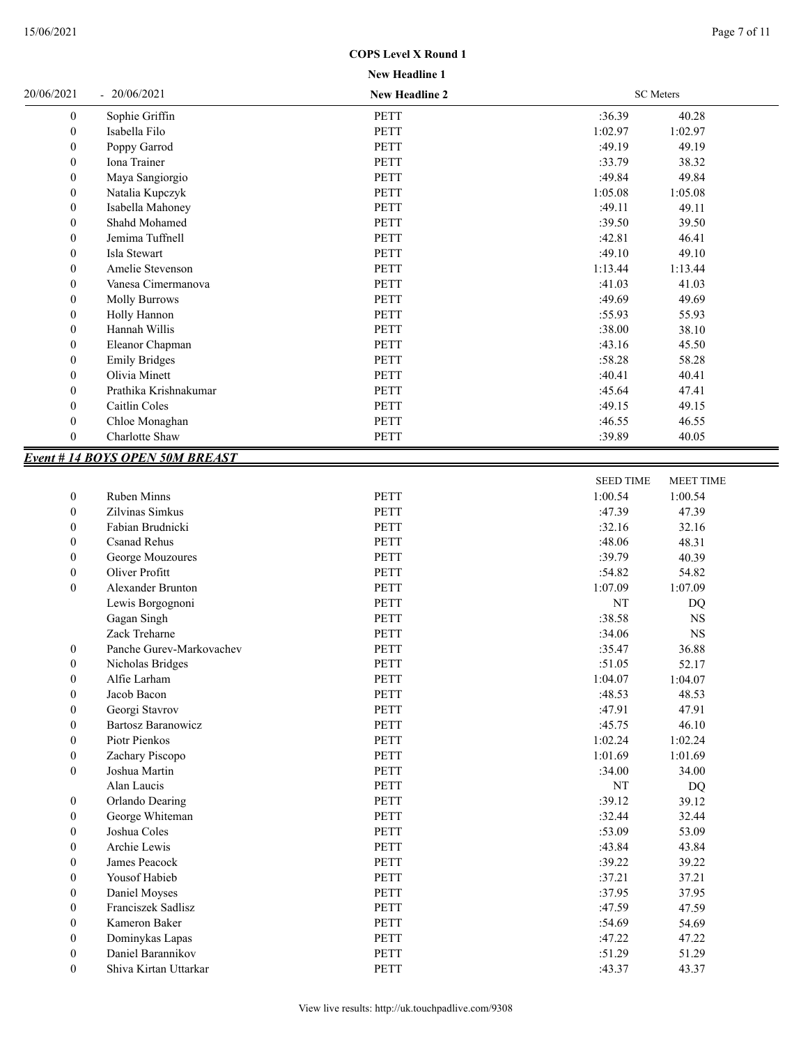| <b>New Headline 1</b> |  |
|-----------------------|--|
|                       |  |

| 20/06/2021       | $-20/06/2021$                                | <b>New Headline 2</b> |         | <b>SC</b> Meters |  |
|------------------|----------------------------------------------|-----------------------|---------|------------------|--|
| $\boldsymbol{0}$ | Sophie Griffin                               | PETT                  | :36.39  | 40.28            |  |
| $\boldsymbol{0}$ | Isabella Filo                                | PETT                  | 1:02.97 | 1:02.97          |  |
| $\boldsymbol{0}$ | Poppy Garrod                                 | PETT                  | :49.19  | 49.19            |  |
| $\boldsymbol{0}$ | Iona Trainer                                 | PETT                  | :33.79  | 38.32            |  |
| $\boldsymbol{0}$ | Maya Sangiorgio                              | PETT                  | :49.84  | 49.84            |  |
| $\boldsymbol{0}$ | Natalia Kupczyk                              | PETT                  | 1:05.08 | 1:05.08          |  |
| $\boldsymbol{0}$ | Isabella Mahoney                             | PETT                  | :49.11  | 49.11            |  |
| $\boldsymbol{0}$ | Shahd Mohamed                                | PETT                  | :39.50  | 39.50            |  |
| $\boldsymbol{0}$ | Jemima Tuffnell                              | PETT                  | :42.81  | 46.41            |  |
| $\boldsymbol{0}$ | Isla Stewart                                 | PETT                  | :49.10  | 49.10            |  |
| $\mathbf{0}$     | Amelie Stevenson                             | <b>PETT</b>           | 1:13.44 | 1:13.44          |  |
| $\mathbf{0}$     | Vanesa Cimermanova                           | <b>PETT</b>           | :41.03  | 41.03            |  |
| $\boldsymbol{0}$ | <b>Molly Burrows</b>                         | <b>PETT</b>           | :49.69  | 49.69            |  |
| $\boldsymbol{0}$ | Holly Hannon                                 | PETT                  | :55.93  | 55.93            |  |
| $\boldsymbol{0}$ | Hannah Willis                                | <b>PETT</b>           | :38.00  | 38.10            |  |
| $\boldsymbol{0}$ | Eleanor Chapman                              | <b>PETT</b>           | :43.16  | 45.50            |  |
| $\boldsymbol{0}$ | <b>Emily Bridges</b>                         | PETT                  | :58.28  | 58.28            |  |
| $\boldsymbol{0}$ | Olivia Minett                                | PETT                  | :40.41  | 40.41            |  |
| $\boldsymbol{0}$ | Prathika Krishnakumar                        | PETT                  | :45.64  | 47.41            |  |
| $\boldsymbol{0}$ | Caitlin Coles                                | PETT                  | :49.15  | 49.15            |  |
| $\boldsymbol{0}$ | Chloe Monaghan                               | PETT                  | :46.55  | 46.55            |  |
| $\boldsymbol{0}$ | Charlotte Shaw                               | PETT                  | :39.89  | 40.05            |  |
|                  | $E_{\text{test}}$ # 14 DOVC ODEN 50M DDE ACT |                       |         |                  |  |

## *Event # 14 BOYS OPEN 50M BREAST*

|                  |                           |             | <b>SEED TIME</b> | <b>MEET TIME</b> |  |
|------------------|---------------------------|-------------|------------------|------------------|--|
| $\boldsymbol{0}$ | <b>Ruben Minns</b>        | <b>PETT</b> | 1:00.54          | 1:00.54          |  |
| $\mathbf{0}$     | Zilvinas Simkus           | <b>PETT</b> | :47.39           | 47.39            |  |
| $\bf{0}$         | Fabian Brudnicki          | <b>PETT</b> | :32.16           | 32.16            |  |
| $\boldsymbol{0}$ | <b>Csanad Rehus</b>       | <b>PETT</b> | :48.06           | 48.31            |  |
| $\boldsymbol{0}$ | George Mouzoures          | <b>PETT</b> | :39.79           | 40.39            |  |
| $\mathbf{0}$     | Oliver Profitt            | <b>PETT</b> | :54.82           | 54.82            |  |
| $\mathbf{0}$     | Alexander Brunton         | <b>PETT</b> | 1:07.09          | 1:07.09          |  |
|                  | Lewis Borgognoni          | <b>PETT</b> | NT               | DQ               |  |
|                  | Gagan Singh               | <b>PETT</b> | :38.58           | <b>NS</b>        |  |
|                  | Zack Treharne             | <b>PETT</b> | :34.06           | <b>NS</b>        |  |
| $\bf{0}$         | Panche Gurev-Markovachev  | <b>PETT</b> | :35.47           | 36.88            |  |
| $\boldsymbol{0}$ | Nicholas Bridges          | <b>PETT</b> | :51.05           | 52.17            |  |
| $\boldsymbol{0}$ | Alfie Larham              | <b>PETT</b> | 1:04.07          | 1:04.07          |  |
| $\mathbf{0}$     | Jacob Bacon               | <b>PETT</b> | :48.53           | 48.53            |  |
| $\mathbf{0}$     | Georgi Stavrov            | <b>PETT</b> | :47.91           | 47.91            |  |
| $\bf{0}$         | <b>Bartosz Baranowicz</b> | <b>PETT</b> | :45.75           | 46.10            |  |
| $\mathbf{0}$     | Piotr Pienkos             | <b>PETT</b> | 1:02.24          | 1:02.24          |  |
| $\boldsymbol{0}$ | Zachary Piscopo           | <b>PETT</b> | 1:01.69          | 1:01.69          |  |
| $\mathbf{0}$     | Joshua Martin             | <b>PETT</b> | :34.00           | 34.00            |  |
|                  | Alan Laucis               | <b>PETT</b> | NT               | DQ               |  |
| $\boldsymbol{0}$ | Orlando Dearing           | <b>PETT</b> | :39.12           | 39.12            |  |
| $\boldsymbol{0}$ | George Whiteman           | PETT        | :32.44           | 32.44            |  |
| $\mathbf{0}$     | Joshua Coles              | <b>PETT</b> | :53.09           | 53.09            |  |
| $\boldsymbol{0}$ | Archie Lewis              | <b>PETT</b> | :43.84           | 43.84            |  |
| $\boldsymbol{0}$ | James Peacock             | <b>PETT</b> | :39.22           | 39.22            |  |
| $\boldsymbol{0}$ | Yousof Habieb             | <b>PETT</b> | :37.21           | 37.21            |  |
| $\mathbf{0}$     | Daniel Moyses             | <b>PETT</b> | :37.95           | 37.95            |  |
| $\boldsymbol{0}$ | Franciszek Sadlisz        | <b>PETT</b> | :47.59           | 47.59            |  |
| $\boldsymbol{0}$ | Kameron Baker             | <b>PETT</b> | :54.69           | 54.69            |  |
| $\mathbf{0}$     | Dominykas Lapas           | <b>PETT</b> | :47.22           | 47.22            |  |
| $\mathbf{0}$     | Daniel Barannikov         | <b>PETT</b> | :51.29           | 51.29            |  |
| $\bf{0}$         | Shiva Kirtan Uttarkar     | <b>PETT</b> | :43.37           | 43.37            |  |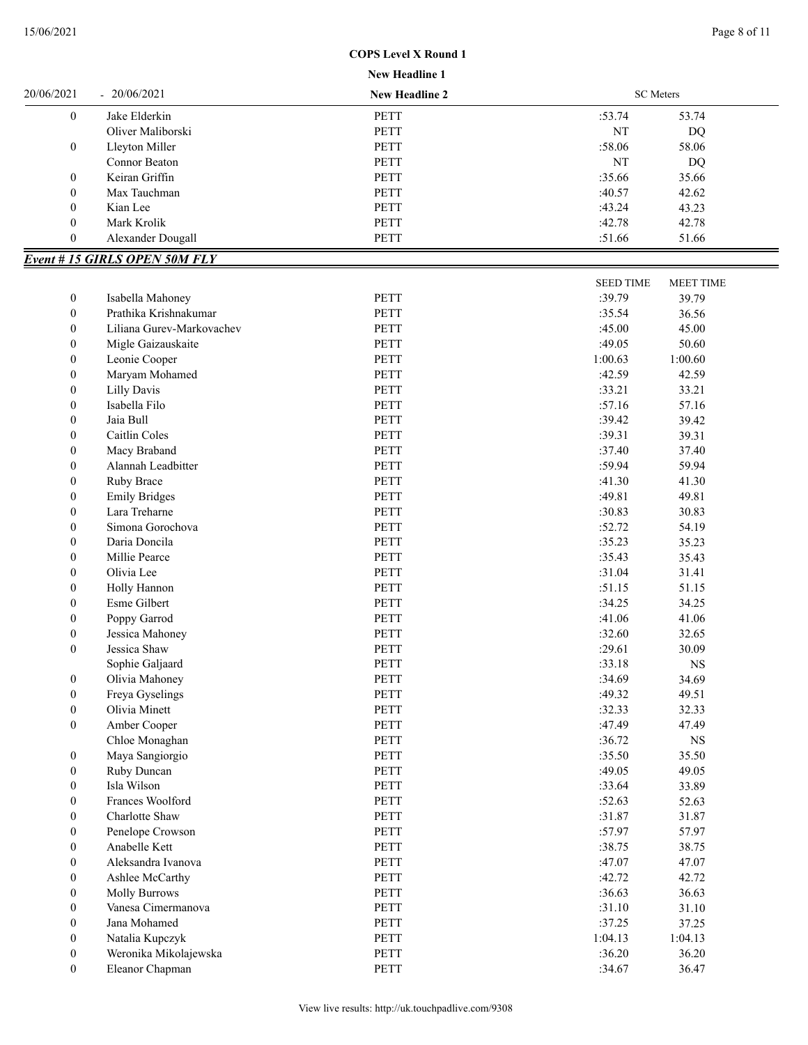| <b>New Headline 1</b> |  |
|-----------------------|--|
|                       |  |

|                                      |                                      | лем пеашше 1          |                  |                    |
|--------------------------------------|--------------------------------------|-----------------------|------------------|--------------------|
| 20/06/2021                           | $-20/06/2021$                        | <b>New Headline 2</b> | <b>SC</b> Meters |                    |
| $\boldsymbol{0}$                     | Jake Elderkin                        | <b>PETT</b>           | :53.74           | 53.74              |
|                                      | Oliver Maliborski                    | PETT                  | NT               | <b>DQ</b>          |
| $\boldsymbol{0}$                     | Lleyton Miller                       | <b>PETT</b>           | :58.06           | 58.06              |
|                                      | Connor Beaton                        | <b>PETT</b>           | NT               | DQ                 |
| $\boldsymbol{0}$                     | Keiran Griffin                       | <b>PETT</b>           | :35.66           | 35.66              |
| $\boldsymbol{0}$                     | Max Tauchman                         | PETT                  | :40.57           | 42.62              |
| $\boldsymbol{0}$                     | Kian Lee                             | PETT                  | :43.24           | 43.23              |
| $\boldsymbol{0}$                     | Mark Krolik                          | PETT                  | :42.78           | 42.78              |
| $\boldsymbol{0}$                     | Alexander Dougall                    | PETT                  | :51.66           | 51.66              |
|                                      | <b>Event # 15 GIRLS OPEN 50M FLY</b> |                       |                  |                    |
|                                      |                                      |                       | <b>SEED TIME</b> | MEET TIME          |
| $\boldsymbol{0}$                     | Isabella Mahoney                     | PETT                  | :39.79           | 39.79              |
| $\boldsymbol{0}$                     | Prathika Krishnakumar                | <b>PETT</b>           | :35.54           | 36.56              |
| $\boldsymbol{0}$                     | Liliana Gurev-Markovachev            | <b>PETT</b>           | :45.00           | 45.00              |
| $\boldsymbol{0}$                     | Migle Gaizauskaite                   | PETT                  | :49.05           | 50.60              |
| $\boldsymbol{0}$                     | Leonie Cooper                        | <b>PETT</b>           | 1:00.63          | 1:00.60            |
| $\boldsymbol{0}$                     | Maryam Mohamed                       | <b>PETT</b>           | :42.59           | 42.59              |
| $\boldsymbol{0}$                     | <b>Lilly Davis</b>                   | PETT                  | :33.21           | 33.21              |
| $\boldsymbol{0}$                     | Isabella Filo                        | <b>PETT</b>           | :57.16           | 57.16              |
| $\boldsymbol{0}$                     | Jaia Bull                            | PETT                  | :39.42           | 39.42              |
| $\boldsymbol{0}$                     | Caitlin Coles                        | <b>PETT</b>           | :39.31           | 39.31              |
| $\boldsymbol{0}$                     | Macy Braband                         | <b>PETT</b>           | :37.40           | 37.40              |
| $\boldsymbol{0}$                     | Alannah Leadbitter                   | <b>PETT</b>           | :59.94           | 59.94              |
| $\boldsymbol{0}$                     | Ruby Brace                           | <b>PETT</b>           | :41.30           | 41.30              |
| $\boldsymbol{0}$                     | <b>Emily Bridges</b>                 | PETT                  | :49.81           | 49.81              |
| $\boldsymbol{0}$                     | Lara Treharne                        | PETT                  | :30.83           | 30.83              |
| $\boldsymbol{0}$                     | Simona Gorochova                     | PETT                  | :52.72           | 54.19              |
| $\boldsymbol{0}$                     | Daria Doncila                        | <b>PETT</b>           | :35.23           | 35.23              |
| $\boldsymbol{0}$                     | Millie Pearce                        | PETT                  | :35.43           | 35.43              |
| $\boldsymbol{0}$                     | Olivia Lee                           | PETT                  | :31.04           | 31.41              |
| $\boldsymbol{0}$                     | Holly Hannon                         | PETT                  | :51.15           | 51.15              |
| $\boldsymbol{0}$                     | Esme Gilbert                         | <b>PETT</b>           | :34.25           | 34.25              |
| $\boldsymbol{0}$                     | Poppy Garrod                         | PETT                  | :41.06           | 41.06              |
| $\boldsymbol{0}$                     | Jessica Mahoney                      | <b>PETT</b>           | :32.60           | 32.65              |
| $\mathbf{0}$                         | Jessica Shaw                         | <b>PETT</b>           | :29.61           | 30.09              |
|                                      |                                      | <b>PETT</b>           | :33.18           |                    |
| $\boldsymbol{0}$                     | Sophie Galjaard<br>Olivia Mahoney    | PETT                  | :34.69           | <b>NS</b><br>34.69 |
|                                      | Freya Gyselings                      | PETT                  | :49.32           | 49.51              |
| $\boldsymbol{0}$                     | Olivia Minett                        | PETT                  | :32.33           | 32.33              |
| $\boldsymbol{0}$<br>$\boldsymbol{0}$ | Amber Cooper                         | PETT                  | :47.49           | 47.49              |
|                                      | Chloe Monaghan                       | PETT                  | :36.72           |                    |
|                                      |                                      |                       |                  | $_{\rm NS}$        |
| $\boldsymbol{0}$                     | Maya Sangiorgio                      | PETT                  | :35.50           | 35.50              |
| $\boldsymbol{0}$                     | Ruby Duncan                          | PETT                  | :49.05           | 49.05              |
| $\boldsymbol{0}$                     | Isla Wilson                          | PETT                  | :33.64           | 33.89              |
| $\boldsymbol{0}$                     | Frances Woolford                     | PETT                  | :52.63           | 52.63              |
| $\boldsymbol{0}$                     | Charlotte Shaw                       | PETT                  | :31.87           | 31.87              |
| $\boldsymbol{0}$                     | Penelope Crowson                     | PETT                  | :57.97           | 57.97              |
| $\boldsymbol{0}$                     | Anabelle Kett                        | PETT                  | :38.75           | 38.75              |
| $\boldsymbol{0}$                     | Aleksandra Ivanova                   | PETT                  | :47.07           | 47.07              |
| $\boldsymbol{0}$                     | Ashlee McCarthy                      | PETT                  | :42.72           | 42.72              |
| $\boldsymbol{0}$                     | <b>Molly Burrows</b>                 | PETT                  | :36.63           | 36.63              |
| $\boldsymbol{0}$                     | Vanesa Cimermanova                   | PETT                  | :31.10           | 31.10              |
| $\boldsymbol{0}$                     | Jana Mohamed                         | PETT                  | :37.25           | 37.25              |
| $\boldsymbol{0}$                     | Natalia Kupczyk                      | PETT                  | 1:04.13          | 1:04.13            |
| $\boldsymbol{0}$                     | Weronika Mikolajewska                | PETT                  | :36.20           | 36.20              |
| $\boldsymbol{0}$                     | Eleanor Chapman                      | PETT                  | :34.67           | 36.47              |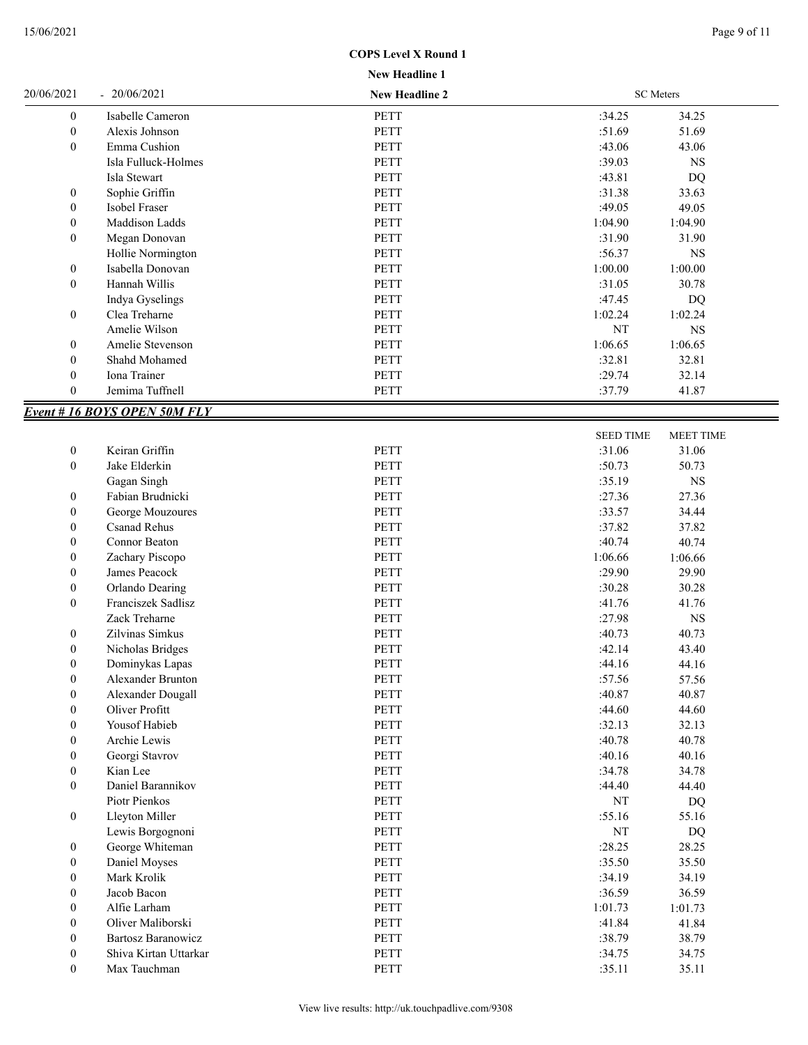| <b>New Headline 1</b> |  |
|-----------------------|--|
|                       |  |

| 20/06/2021       | $-20/06/2021$                      | <b>New Headline 2</b> |                  | <b>SC</b> Meters |
|------------------|------------------------------------|-----------------------|------------------|------------------|
| $\boldsymbol{0}$ | Isabelle Cameron                   | <b>PETT</b>           | :34.25           | 34.25            |
| $\boldsymbol{0}$ | Alexis Johnson                     | PETT                  | :51.69           | 51.69            |
| $\boldsymbol{0}$ | Emma Cushion                       | <b>PETT</b>           | :43.06           | 43.06            |
|                  | Isla Fulluck-Holmes                | PETT                  | :39.03           | <b>NS</b>        |
|                  | Isla Stewart                       | PETT                  | :43.81           | DQ               |
| $\boldsymbol{0}$ | Sophie Griffin                     | PETT                  | :31.38           | 33.63            |
| $\boldsymbol{0}$ | Isobel Fraser                      | PETT                  | :49.05           | 49.05            |
| $\boldsymbol{0}$ | Maddison Ladds                     | PETT                  | 1:04.90          | 1:04.90          |
| $\mathbf{0}$     | Megan Donovan                      | PETT                  | :31.90           | 31.90            |
|                  | Hollie Normington                  | PETT                  | :56.37           | <b>NS</b>        |
| $\boldsymbol{0}$ | Isabella Donovan                   | PETT                  | 1:00.00          | 1:00.00          |
| $\boldsymbol{0}$ | Hannah Willis                      | PETT                  | :31.05           | 30.78            |
|                  | Indya Gyselings                    | PETT                  | :47.45           | DQ               |
| $\boldsymbol{0}$ | Clea Treharne                      | PETT                  | 1:02.24          | 1:02.24          |
|                  | Amelie Wilson                      | PETT                  | NT               | <b>NS</b>        |
| $\boldsymbol{0}$ | Amelie Stevenson                   | PETT                  | 1:06.65          | 1:06.65          |
| $\mathbf{0}$     | Shahd Mohamed                      | PETT                  | :32.81           | 32.81            |
| $\boldsymbol{0}$ | Iona Trainer                       | <b>PETT</b>           | :29.74           | 32.14            |
| $\mathbf{0}$     | Jemima Tuffnell                    | PETT                  | :37.79           | 41.87            |
|                  | <b>Event #16 BOYS OPEN 50M FLY</b> |                       |                  |                  |
|                  |                                    |                       | <b>SEED TIME</b> | <b>MEET TIME</b> |
| $\mathbf{0}$     | Keiran Griffin                     | PETT                  | :31.06           | 31.06            |
|                  |                                    |                       |                  |                  |

| v                | <b>NUMBER</b>             | 1 L 1 1     | .J.I.VV | <b>JI.UU</b> |
|------------------|---------------------------|-------------|---------|--------------|
| $\boldsymbol{0}$ | Jake Elderkin             | PETT        | :50.73  | 50.73        |
|                  | Gagan Singh               | <b>PETT</b> | :35.19  | <b>NS</b>    |
| $\boldsymbol{0}$ | Fabian Brudnicki          | <b>PETT</b> | :27.36  | 27.36        |
| $\boldsymbol{0}$ | George Mouzoures          | <b>PETT</b> | :33.57  | 34.44        |
| $\boldsymbol{0}$ | <b>Csanad Rehus</b>       | PETT        | :37.82  | 37.82        |
| $\boldsymbol{0}$ | Connor Beaton             | <b>PETT</b> | :40.74  | 40.74        |
| $\bf{0}$         | Zachary Piscopo           | <b>PETT</b> | 1:06.66 | 1:06.66      |
| $\mathbf{0}$     | James Peacock             | <b>PETT</b> | :29.90  | 29.90        |
| $\theta$         | Orlando Dearing           | <b>PETT</b> | :30.28  | 30.28        |
| $\mathbf{0}$     | Franciszek Sadlisz        | <b>PETT</b> | :41.76  | 41.76        |
|                  | Zack Treharne             | <b>PETT</b> | :27.98  | <b>NS</b>    |
| $\boldsymbol{0}$ | Zilvinas Simkus           | PETT        | :40.73  | 40.73        |
| $\boldsymbol{0}$ | Nicholas Bridges          | <b>PETT</b> | :42.14  | 43.40        |
| $\boldsymbol{0}$ | Dominykas Lapas           | PETT        | :44.16  | 44.16        |
| $\mathbf{0}$     | <b>Alexander Brunton</b>  | PETT        | :57.56  | 57.56        |
| $\boldsymbol{0}$ | Alexander Dougall         | <b>PETT</b> | :40.87  | 40.87        |
| $\boldsymbol{0}$ | Oliver Profitt            | <b>PETT</b> | :44.60  | 44.60        |
| $\boldsymbol{0}$ | Yousof Habieb             | <b>PETT</b> | :32.13  | 32.13        |
| $\boldsymbol{0}$ | Archie Lewis              | PETT        | :40.78  | 40.78        |
| $\mathbf{0}$     | Georgi Stavrov            | PETT        | :40.16  | 40.16        |
| $\mathbf{0}$     | Kian Lee                  | <b>PETT</b> | :34.78  | 34.78        |
| $\mathbf{0}$     | Daniel Barannikov         | <b>PETT</b> | :44.40  | 44.40        |
|                  | Piotr Pienkos             | <b>PETT</b> | NT      | DQ           |
| $\boldsymbol{0}$ | Lleyton Miller            | PETT        | :55.16  | 55.16        |
|                  | Lewis Borgognoni          | <b>PETT</b> | NT      | DQ           |
| $\boldsymbol{0}$ | George Whiteman           | PETT        | :28.25  | 28.25        |
| $\bf{0}$         | Daniel Moyses             | <b>PETT</b> | :35.50  | 35.50        |
| $\boldsymbol{0}$ | Mark Krolik               | <b>PETT</b> | :34.19  | 34.19        |
| $\mathbf{0}$     | Jacob Bacon               | <b>PETT</b> | :36.59  | 36.59        |
| $\boldsymbol{0}$ | Alfie Larham              | PETT        | 1:01.73 | 1:01.73      |
| $\mathbf{0}$     | Oliver Maliborski         | <b>PETT</b> | :41.84  | 41.84        |
| $\boldsymbol{0}$ | <b>Bartosz Baranowicz</b> | PETT        | :38.79  | 38.79        |
| $\mathbf{0}$     | Shiva Kirtan Uttarkar     | <b>PETT</b> | :34.75  | 34.75        |
| $\theta$         | Max Tauchman              | <b>PETT</b> | :35.11  | 35.11        |
|                  |                           |             |         |              |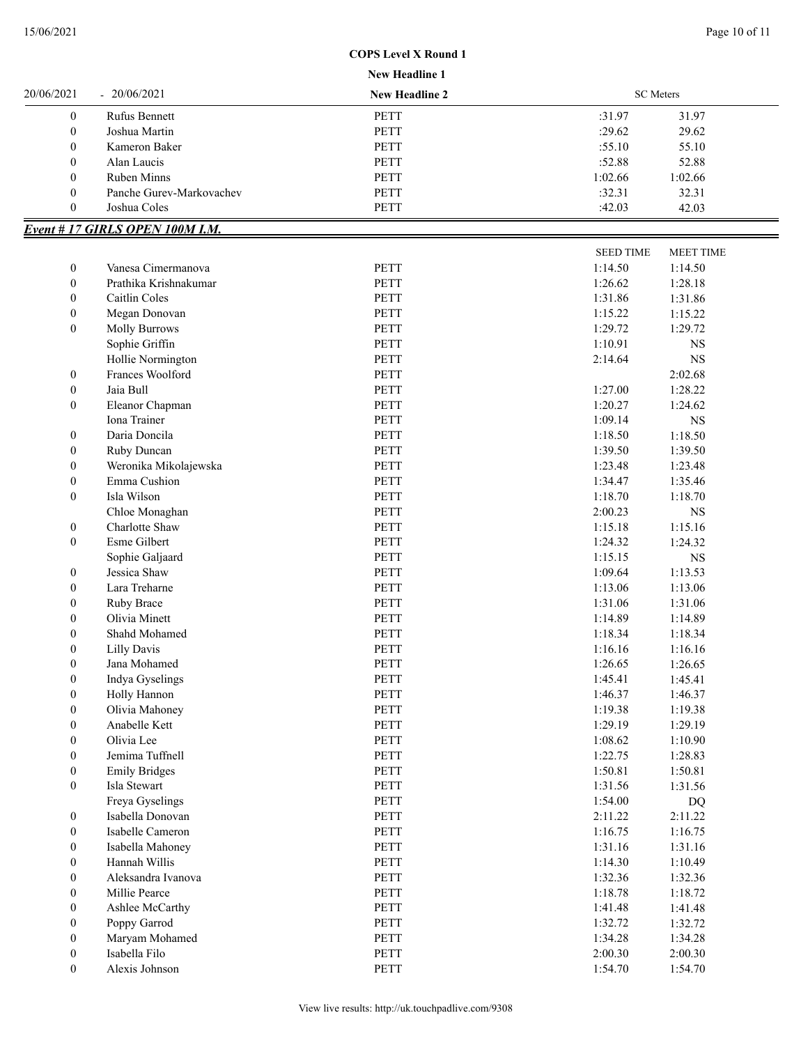#### **New Headline 1**

| 20/06/2021     | $-20/06/2021$            | <b>New Headline 2</b> |         | <b>SC</b> Meters |  |
|----------------|--------------------------|-----------------------|---------|------------------|--|
| $\overline{0}$ | <b>Rufus Bennett</b>     | <b>PETT</b>           | :31.97  | 31.97            |  |
| $\overline{0}$ | Joshua Martin            | <b>PETT</b>           | :29.62  | 29.62            |  |
| $\overline{0}$ | Kameron Baker            | PETT                  | :55.10  | 55.10            |  |
| $\overline{0}$ | Alan Laucis              | <b>PETT</b>           | :52.88  | 52.88            |  |
| $\overline{0}$ | Ruben Minns              | PETT                  | 1:02.66 | 1:02.66          |  |
| $\overline{0}$ | Panche Gurev-Markovachev | <b>PETT</b>           | :32.31  | 32.31            |  |
| $\overline{0}$ | Joshua Coles             | <b>PETT</b>           | :42.03  | 42.03            |  |

# *Event # 17 GIRLS OPEN 100M I.M.*

|                  |                       |             | <b>SEED TIME</b> | <b>MEET TIME</b> |
|------------------|-----------------------|-------------|------------------|------------------|
| 0                | Vanesa Cimermanova    | <b>PETT</b> | 1:14.50          | 1:14.50          |
| $\boldsymbol{0}$ | Prathika Krishnakumar | <b>PETT</b> | 1:26.62          | 1:28.18          |
| $\boldsymbol{0}$ | Caitlin Coles         | <b>PETT</b> | 1:31.86          | 1:31.86          |
| $\boldsymbol{0}$ | Megan Donovan         | <b>PETT</b> | 1:15.22          | 1:15.22          |
| $\boldsymbol{0}$ | <b>Molly Burrows</b>  | PETT        | 1:29.72          | 1:29.72          |
|                  | Sophie Griffin        | PETT        | 1:10.91          | NS               |
|                  | Hollie Normington     | PETT        | 2:14.64          | $_{\rm NS}$      |
| $\boldsymbol{0}$ | Frances Woolford      | PETT        |                  | 2:02.68          |
| $\boldsymbol{0}$ | Jaia Bull             | PETT        | 1:27.00          | 1:28.22          |
| $\boldsymbol{0}$ | Eleanor Chapman       | PETT        | 1:20.27          | 1:24.62          |
|                  | Iona Trainer          | PETT        | 1:09.14          | NS               |
| 0                | Daria Doncila         | PETT        | 1:18.50          | 1:18.50          |
| 0                | Ruby Duncan           | <b>PETT</b> | 1:39.50          | 1:39.50          |
| $\mathbf{0}$     | Weronika Mikolajewska | <b>PETT</b> | 1:23.48          | 1:23.48          |
| $\boldsymbol{0}$ | Emma Cushion          | <b>PETT</b> | 1:34.47          | 1:35.46          |
| $\mathbf{0}$     | Isla Wilson           | PETT        | 1:18.70          | 1:18.70          |
|                  | Chloe Monaghan        | <b>PETT</b> | 2:00.23          | <b>NS</b>        |
| $\boldsymbol{0}$ | Charlotte Shaw        | <b>PETT</b> | 1:15.18          | 1:15.16          |
| 0                | Esme Gilbert          | PETT        | 1:24.32          | 1:24.32          |
|                  | Sophie Galjaard       | PETT        | 1:15.15          | $_{\rm NS}$      |
| $\boldsymbol{0}$ | Jessica Shaw          | <b>PETT</b> | 1:09.64          | 1:13.53          |
| $\boldsymbol{0}$ | Lara Treharne         | <b>PETT</b> | 1:13.06          | 1:13.06          |
| $\boldsymbol{0}$ | Ruby Brace            | PETT        | 1:31.06          | 1:31.06          |
| $\boldsymbol{0}$ | Olivia Minett         | <b>PETT</b> | 1:14.89          | 1:14.89          |
| $\boldsymbol{0}$ | Shahd Mohamed         | <b>PETT</b> | 1:18.34          | 1:18.34          |
| $\boldsymbol{0}$ | Lilly Davis           | PETT        | 1:16.16          | 1:16.16          |
| $\boldsymbol{0}$ | Jana Mohamed          | <b>PETT</b> | 1:26.65          | 1:26.65          |
| $\boldsymbol{0}$ | Indya Gyselings       | <b>PETT</b> | 1:45.41          | 1:45.41          |
| $\boldsymbol{0}$ | Holly Hannon          | <b>PETT</b> | 1:46.37          | 1:46.37          |
| $\boldsymbol{0}$ | Olivia Mahoney        | <b>PETT</b> | 1:19.38          | 1:19.38          |
| $\boldsymbol{0}$ | Anabelle Kett         | PETT        | 1:29.19          | 1:29.19          |
| $\boldsymbol{0}$ | Olivia Lee            | PETT        | 1:08.62          | 1:10.90          |
| $\boldsymbol{0}$ | Jemima Tuffnell       | PETT        | 1:22.75          | 1:28.83          |
| $\boldsymbol{0}$ | <b>Emily Bridges</b>  | <b>PETT</b> | 1:50.81          | 1:50.81          |
| $\boldsymbol{0}$ | Isla Stewart          | <b>PETT</b> | 1:31.56          | 1:31.56          |
|                  | Freya Gyselings       | <b>PETT</b> | 1:54.00          | <b>DQ</b>        |
| 0                | Isabella Donovan      | <b>PETT</b> | 2:11.22          | 2:11.22          |
| $\mathbf{0}$     | Isabelle Cameron      | PETT        | 1:16.75          | 1:16.75          |
| $\boldsymbol{0}$ | Isabella Mahoney      | PETT        | 1:31.16          | 1:31.16          |
| $\boldsymbol{0}$ | Hannah Willis         | PETT        | 1:14.30          | 1:10.49          |
| $\boldsymbol{0}$ | Aleksandra Ivanova    | PETT        | 1:32.36          | 1:32.36          |
| $\boldsymbol{0}$ | Millie Pearce         | PETT        | 1:18.78          | 1:18.72          |
| $\boldsymbol{0}$ | Ashlee McCarthy       | PETT        | 1:41.48          | 1:41.48          |
| 0                | Poppy Garrod          | PETT        | 1:32.72          | 1:32.72          |
| 0                | Maryam Mohamed        | PETT        | 1:34.28          | 1:34.28          |
| 0                | Isabella Filo         | PETT        | 2:00.30          | 2:00.30          |
| $\boldsymbol{0}$ | Alexis Johnson        | PETT        | 1:54.70          | 1:54.70          |